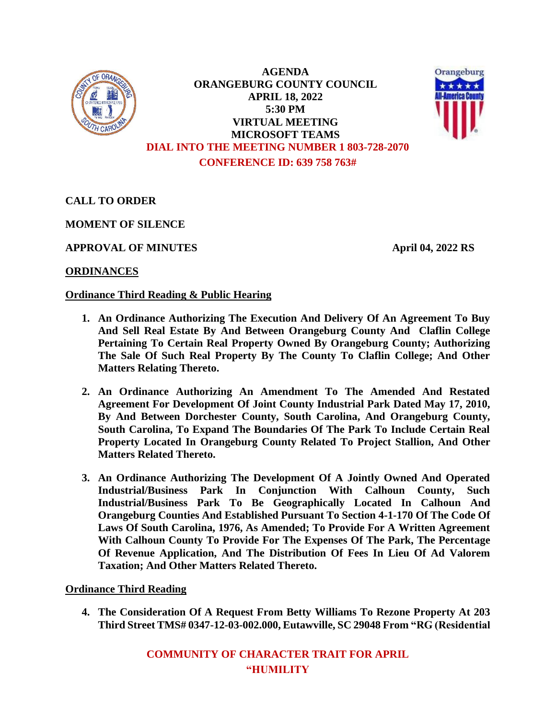

**AGENDA ORANGEBURG COUNTY COUNCIL APRIL 18, 2022 5:30 PM VIRTUAL MEETING MICROSOFT TEAMS DIAL INTO THE MEETING NUMBER 1 803-728-2070 CONFERENCE ID: 639 758 763#**



**CALL TO ORDER**

**MOMENT OF SILENCE**

**APPROVAL OF MINUTES April 04, 2022 RS**

# **ORDINANCES**

# **Ordinance Third Reading & Public Hearing**

- **1. An Ordinance Authorizing The Execution And Delivery Of An Agreement To Buy And Sell Real Estate By And Between Orangeburg County And Claflin College Pertaining To Certain Real Property Owned By Orangeburg County; Authorizing The Sale Of Such Real Property By The County To Claflin College; And Other Matters Relating Thereto.**
- **2. An Ordinance Authorizing An Amendment To The Amended And Restated Agreement For Development Of Joint County Industrial Park Dated May 17, 2010, By And Between Dorchester County, South Carolina, And Orangeburg County, South Carolina, To Expand The Boundaries Of The Park To Include Certain Real Property Located In Orangeburg County Related To Project Stallion, And Other Matters Related Thereto.**
- **3. An Ordinance Authorizing The Development Of A Jointly Owned And Operated Industrial/Business Park In Conjunction With Calhoun County, Such Industrial/Business Park To Be Geographically Located In Calhoun And Orangeburg Counties And Established Pursuant To Section 4-1-170 Of The Code Of Laws Of South Carolina, 1976, As Amended; To Provide For A Written Agreement With Calhoun County To Provide For The Expenses Of The Park, The Percentage Of Revenue Application, And The Distribution Of Fees In Lieu Of Ad Valorem Taxation; And Other Matters Related Thereto.**

### **Ordinance Third Reading**

**4. The Consideration Of A Request From Betty Williams To Rezone Property At 203 Third Street TMS# 0347-12-03-002.000, Eutawville, SC 29048 From "RG (Residential** 

> **COMMUNITY OF CHARACTER TRAIT FOR APRIL "HUMILITY**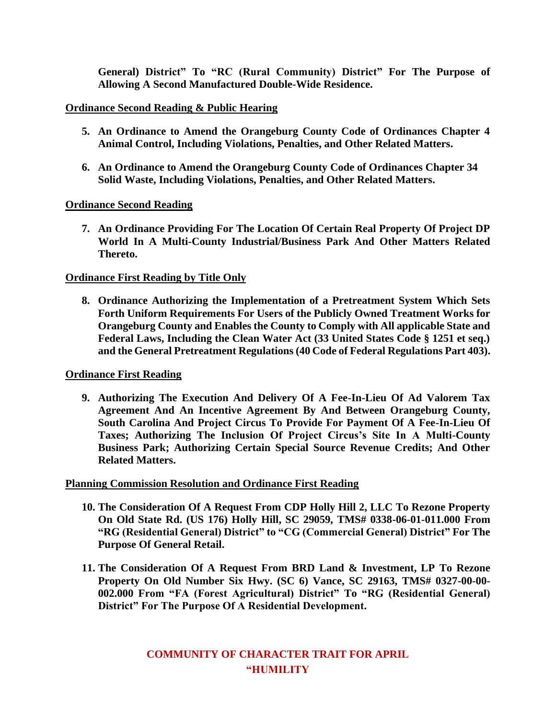**General) District" To "RC (Rural Community) District" For The Purpose of Allowing A Second Manufactured Double-Wide Residence.**

### **Ordinance Second Reading & Public Hearing**

- **5. An Ordinance to Amend the Orangeburg County Code of Ordinances Chapter 4 Animal Control, Including Violations, Penalties, and Other Related Matters.**
- **6. An Ordinance to Amend the Orangeburg County Code of Ordinances Chapter 34 Solid Waste, Including Violations, Penalties, and Other Related Matters.**

# **Ordinance Second Reading**

**7. An Ordinance Providing For The Location Of Certain Real Property Of Project DP World In A Multi-County Industrial/Business Park And Other Matters Related Thereto.**

# **Ordinance First Reading by Title Only**

**8. Ordinance Authorizing the Implementation of a Pretreatment System Which Sets Forth Uniform Requirements For Users of the Publicly Owned Treatment Works for Orangeburg County and Enables the County to Comply with All applicable State and Federal Laws, Including the Clean Water Act (33 United States Code § 1251 et seq.) and the General Pretreatment Regulations (40 Code of Federal Regulations Part 403).**

### **Ordinance First Reading**

**9. Authorizing The Execution And Delivery Of A Fee-In-Lieu Of Ad Valorem Tax Agreement And An Incentive Agreement By And Between Orangeburg County, South Carolina And Project Circus To Provide For Payment Of A Fee-In-Lieu Of Taxes; Authorizing The Inclusion Of Project Circus's Site In A Multi-County Business Park; Authorizing Certain Special Source Revenue Credits; And Other Related Matters.** 

### **Planning Commission Resolution and Ordinance First Reading**

- **10. The Consideration Of A Request From CDP Holly Hill 2, LLC To Rezone Property On Old State Rd. (US 176) Holly Hill, SC 29059, TMS# 0338-06-01-011.000 From "RG (Residential General) District" to "CG (Commercial General) District" For The Purpose Of General Retail.**
- **11. The Consideration Of A Request From BRD Land & Investment, LP To Rezone Property On Old Number Six Hwy. (SC 6) Vance, SC 29163, TMS# 0327-00-00- 002.000 From "FA (Forest Agricultural) District" To "RG (Residential General) District" For The Purpose Of A Residential Development.**